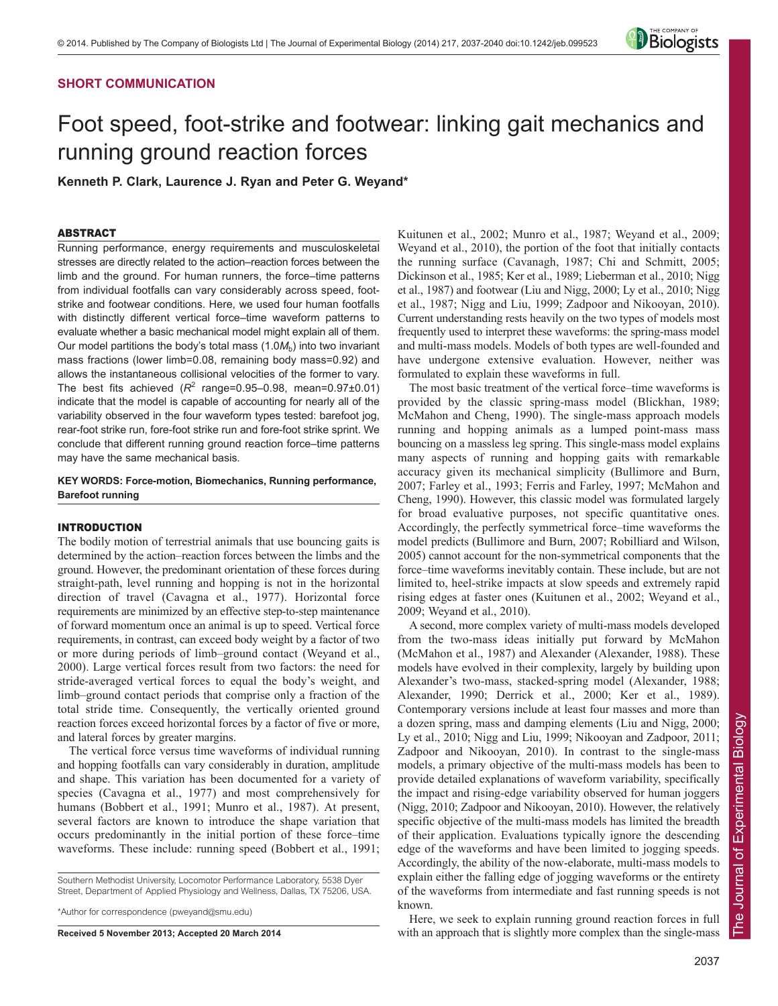# **SHORT COMMUNICATION**



# Foot speed, foot-strike and footwear: linking gait mechanics and running ground reaction forces

**Kenneth P. Clark, Laurence J. Ryan and Peter G. Weyand\***

## ABSTRACT

Running performance, energy requirements and musculoskeletal stresses are directly related to the action–reaction forces between the limb and the ground. For human runners, the force–time patterns from individual footfalls can vary considerably across speed, footstrike and footwear conditions. Here, we used four human footfalls with distinctly different vertical force–time waveform patterns to evaluate whether a basic mechanical model might explain all of them. Our model partitions the body's total mass  $(1.0M_b)$  into two invariant mass fractions (lower limb=0.08, remaining body mass=0.92) and allows the instantaneous collisional velocities of the former to vary. The best fits achieved  $(R^2 \text{ range}=0.95-0.98, \text{ mean}=0.97\pm0.01)$ indicate that the model is capable of accounting for nearly all of the variability observed in the four waveform types tested: barefoot jog, rear-foot strike run, fore-foot strike run and fore-foot strike sprint. We conclude that different running ground reaction force–time patterns may have the same mechanical basis.

## **KEY WORDS: Force-motion, Biomechanics, Running performance, Barefoot running**

## INTRODUCTION

The bodily motion of terrestrial animals that use bouncing gaits is determined by the action–reaction forces between the limbs and the ground. However, the predominant orientation of these forces during straight-path, level running and hopping is not in the horizontal direction of travel (Cavagna et al., 1977). Horizontal force requirements are minimized by an effective step-to-step maintenance of forward momentum once an animal is up to speed. Vertical force requirements, in contrast, can exceed body weight by a factor of two or more during periods of limb–ground contact (Weyand et al., 2000). Large vertical forces result from two factors: the need for stride-averaged vertical forces to equal the body's weight, and limb–ground contact periods that comprise only a fraction of the total stride time. Consequently, the vertically oriented ground reaction forces exceed horizontal forces by a factor of five or more, and lateral forces by greater margins.

The vertical force versus time waveforms of individual running and hopping footfalls can vary considerably in duration, amplitude and shape. This variation has been documented for a variety of species (Cavagna et al., 1977) and most comprehensively for humans (Bobbert et al., 1991; Munro et al., 1987). At present, several factors are known to introduce the shape variation that occurs predominantly in the initial portion of these force–time waveforms. These include: running speed (Bobbert et al., 1991;

Southern Methodist University, Locomotor Performance Laboratory, 5538 Dyer Street, Department of Applied Physiology and Wellness, Dallas, TX 75206, USA.

\*Author for correspondence (pweyand@smu.edu)

**Received 5 November 2013; Accepted 20 March 2014**

Kuitunen et al., 2002; Munro et al., 1987; Weyand et al., 2009; Weyand et al., 2010), the portion of the foot that initially contacts the running surface (Cavanagh, 1987; Chi and Schmitt, 2005; Dickinson et al., 1985; Ker et al., 1989; Lieberman et al., 2010; Nigg et al., 1987) and footwear (Liu and Nigg, 2000; Ly et al., 2010; Nigg et al., 1987; Nigg and Liu, 1999; Zadpoor and Nikooyan, 2010). Current understanding rests heavily on the two types of models most frequently used to interpret these waveforms: the spring-mass model and multi-mass models. Models of both types are well-founded and have undergone extensive evaluation. However, neither was formulated to explain these waveforms in full.

The most basic treatment of the vertical force–time waveforms is provided by the classic spring-mass model (Blickhan, 1989; McMahon and Cheng, 1990). The single-mass approach models running and hopping animals as a lumped point-mass mass bouncing on a massless leg spring. This single-mass model explains many aspects of running and hopping gaits with remarkable accuracy given its mechanical simplicity (Bullimore and Burn, 2007; Farley et al., 1993; Ferris and Farley, 1997; McMahon and Cheng, 1990). However, this classic model was formulated largely for broad evaluative purposes, not specific quantitative ones. Accordingly, the perfectly symmetrical force–time waveforms the model predicts (Bullimore and Burn, 2007; Robilliard and Wilson, 2005) cannot account for the non-symmetrical components that the force–time waveforms inevitably contain. These include, but are not limited to, heel-strike impacts at slow speeds and extremely rapid rising edges at faster ones (Kuitunen et al., 2002; Weyand et al., 2009; Weyand et al., 2010).

A second, more complex variety of multi-mass models developed from the two-mass ideas initially put forward by McMahon (McMahon et al., 1987) and Alexander (Alexander, 1988). These models have evolved in their complexity, largely by building upon Alexander's two-mass, stacked-spring model (Alexander, 1988; Alexander, 1990; Derrick et al., 2000; Ker et al., 1989). Contemporary versions include at least four masses and more than a dozen spring, mass and damping elements (Liu and Nigg, 2000; Ly et al., 2010; Nigg and Liu, 1999; Nikooyan and Zadpoor, 2011; Zadpoor and Nikooyan, 2010). In contrast to the single-mass models, a primary objective of the multi-mass models has been to provide detailed explanations of waveform variability, specifically the impact and rising-edge variability observed for human joggers (Nigg, 2010; Zadpoor and Nikooyan, 2010). However, the relatively specific objective of the multi-mass models has limited the breadth of their application. Evaluations typically ignore the descending edge of the waveforms and have been limited to jogging speeds. Accordingly, the ability of the now-elaborate, multi-mass models to explain either the falling edge of jogging waveforms or the entirety of the waveforms from intermediate and fast running speeds is not known.

Here, we seek to explain running ground reaction forces in full with an approach that is slightly more complex than the single-mass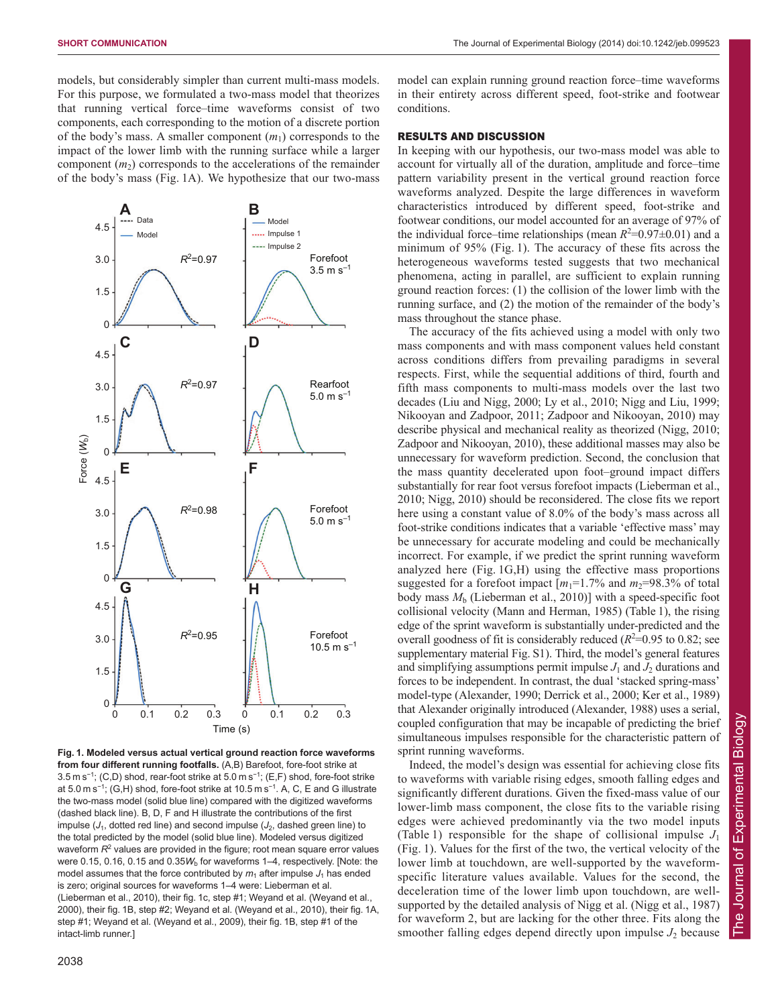models, but considerably simpler than current multi-mass models. For this purpose, we formulated a two-mass model that theorizes that running vertical force–time waveforms consist of two components, each corresponding to the motion of a discrete portion of the body's mass. A smaller component (*m*1) corresponds to the impact of the lower limb with the running surface while a larger component  $(m_2)$  corresponds to the accelerations of the remainder of the body's mass (Fig. 1A). We hypothesize that our two-mass



**Fig. 1. Modeled versus actual vertical ground reaction force waveforms from four different running footfalls.** (A,B) Barefoot, fore-foot strike at 3.5 m s<sup>-1</sup>; (C,D) shod, rear-foot strike at 5.0 m s<sup>-1</sup>; (E,F) shod, fore-foot strike at 5.0 m s<sup>-1</sup>; (G,H) shod, fore-foot strike at 10.5 m s<sup>-1</sup>. A, C, E and G illustrate the two-mass model (solid blue line) compared with the digitized waveforms (dashed black line). B, D, F and H illustrate the contributions of the first impulse  $(J_1, \text{dotted red line})$  and second impulse  $(J_2, \text{dashed green line})$  to the total predicted by the model (solid blue line). Modeled versus digitized waveform  $R^2$  values are provided in the figure; root mean square error values were 0.15, 0.16, 0.15 and 0.35 $W<sub>b</sub>$  for waveforms 1–4, respectively. [Note: the model assumes that the force contributed by  $m_1$  after impulse  $J_1$  has ended is zero; original sources for waveforms 1–4 were: Lieberman et al. (Lieberman et al., 2010), their fig. 1c, step #1; Weyand et al. (Weyand et al., 2000), their fig. 1B, step #2; Weyand et al. (Weyand et al., 2010), their fig. 1A, step #1; Weyand et al. (Weyand et al., 2009), their fig. 1B, step #1 of the intact-limb runner.]

model can explain running ground reaction force–time waveforms in their entirety across different speed, foot-strike and footwear conditions.

## RESULTS AND DISCUSSION

In keeping with our hypothesis, our two-mass model was able to account for virtually all of the duration, amplitude and force–time pattern variability present in the vertical ground reaction force waveforms analyzed. Despite the large differences in waveform characteristics introduced by different speed, foot-strike and footwear conditions, our model accounted for an average of 97% of the individual force–time relationships (mean  $R^2$ =0.97 $\pm$ 0.01) and a minimum of 95% (Fig. 1). The accuracy of these fits across the heterogeneous waveforms tested suggests that two mechanical phenomena, acting in parallel, are sufficient to explain running ground reaction forces: (1) the collision of the lower limb with the running surface, and (2) the motion of the remainder of the body's mass throughout the stance phase.

The accuracy of the fits achieved using a model with only two mass components and with mass component values held constant across conditions differs from prevailing paradigms in several respects. First, while the sequential additions of third, fourth and fifth mass components to multi-mass models over the last two decades (Liu and Nigg, 2000; Ly et al., 2010; Nigg and Liu, 1999; Nikooyan and Zadpoor, 2011; Zadpoor and Nikooyan, 2010) may describe physical and mechanical reality as theorized (Nigg, 2010; Zadpoor and Nikooyan, 2010), these additional masses may also be unnecessary for waveform prediction. Second, the conclusion that the mass quantity decelerated upon foot–ground impact differs substantially for rear foot versus forefoot impacts (Lieberman et al., 2010; Nigg, 2010) should be reconsidered. The close fits we report here using a constant value of 8.0% of the body's mass across all foot-strike conditions indicates that a variable 'effective mass' may be unnecessary for accurate modeling and could be mechanically incorrect. For example, if we predict the sprint running waveform analyzed here (Fig. 1G,H) using the effective mass proportions suggested for a forefoot impact  $[m_1=1.7\%$  and  $m_2=98.3\%$  of total body mass *M*<sup>b</sup> (Lieberman et al., 2010)] with a speed-specific foot collisional velocity (Mann and Herman, 1985) (Table 1), the rising edge of the sprint waveform is substantially under-predicted and the overall goodness of fit is considerably reduced  $(R<sup>2</sup>=0.95$  to 0.82; see supplementary material Fig. S1). Third, the model's general features and simplifying assumptions permit impulse  $J_1$  and  $J_2$  durations and forces to be independent. In contrast, the dual 'stacked spring-mass' model-type (Alexander, 1990; Derrick et al., 2000; Ker et al., 1989) that Alexander originally introduced (Alexander, 1988) uses a serial, coupled configuration that may be incapable of predicting the brief simultaneous impulses responsible for the characteristic pattern of sprint running waveforms.

Indeed, the model's design was essential for achieving close fits to waveforms with variable rising edges, smooth falling edges and significantly different durations. Given the fixed-mass value of our lower-limb mass component, the close fits to the variable rising edges were achieved predominantly via the two model inputs (Table 1) responsible for the shape of collisional impulse  $J_1$ (Fig. 1). Values for the first of the two, the vertical velocity of the lower limb at touchdown, are well-supported by the waveformspecific literature values available. Values for the second, the deceleration time of the lower limb upon touchdown, are wellsupported by the detailed analysis of Nigg et al. (Nigg et al., 1987) for waveform 2, but are lacking for the other three. Fits along the smoother falling edges depend directly upon impulse *J*<sup>2</sup> because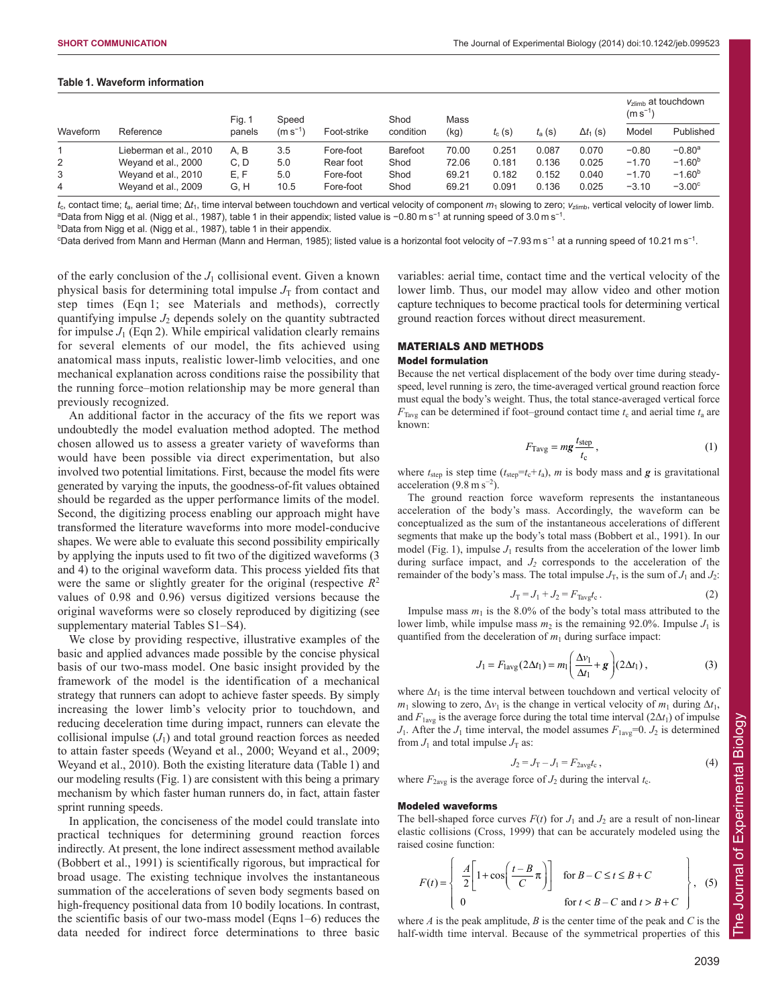## **Table 1. Waveform information**

| Waveform | Reference              | Fig. 1<br>panels | Speed<br>$(m s-1)$ | Foot-strike | Shod<br>condition | Mass<br>(kg) | $t_c$ (s) | $t_{\rm a}$ (s) | $\Delta t_1$ (s) | $V_{zlimh}$ at touchdown<br>$(m s^{-1})$ |           |
|----------|------------------------|------------------|--------------------|-------------|-------------------|--------------|-----------|-----------------|------------------|------------------------------------------|-----------|
|          |                        |                  |                    |             |                   |              |           |                 |                  | Model                                    | Published |
|          | Lieberman et al., 2010 | A, B             | 3.5                | Fore-foot   | Barefoot          | 70.00        | 0.251     | 0.087           | 0.070            | $-0.80$                                  | $-0.80a$  |
| 2        | Weyand et al., 2000    | C, D             | 5.0                | Rear foot   | Shod              | 72.06        | 0.181     | 0.136           | 0.025            | $-1.70$                                  | $-1.60b$  |
| 3        | Weyand et al., 2010    | E, F             | 5.0                | Fore-foot   | Shod              | 69.21        | 0.182     | 0.152           | 0.040            | $-1.70$                                  | $-1.60b$  |
| 4        | Weyand et al., 2009    | G, H             | 10.5               | Fore-foot   | Shod              | 69.21        | 0.091     | 0.136           | 0.025            | $-3.10$                                  | $-3.00c$  |

*t*c, contact time; *t*a, aerial time; Δ*t*1, time interval between touchdown and vertical velocity of component *m*<sup>1</sup> slowing to zero; *v*zlimb, vertical velocity of lower limb. <sup>a</sup>Data from Nigg et al. (Nigg et al., 1987), table 1 in their appendix; listed value is −0.80 m s<sup>−1</sup> at running speed of 3.0 m s<sup>−1</sup>. <sup>b</sup>Data from Nigg et al. (Nigg et al., 1987), table 1 in their appendix.

c Data derived from Mann and Herman (Mann and Herman, 1985); listed value is a horizontal foot velocity of −7.93 m s<sup>−</sup><sup>1</sup> at a running speed of 10.21 m s<sup>−</sup><sup>1</sup> .

of the early conclusion of the  $J_1$  collisional event. Given a known physical basis for determining total impulse  $J_T$  from contact and step times (Eqn 1; see Materials and methods), correctly quantifying impulse  $J_2$  depends solely on the quantity subtracted for impulse  $J_1$  (Eqn 2). While empirical validation clearly remains for several elements of our model, the fits achieved using anatomical mass inputs, realistic lower-limb velocities, and one mechanical explanation across conditions raise the possibility that the running force–motion relationship may be more general than previously recognized.

An additional factor in the accuracy of the fits we report was undoubtedly the model evaluation method adopted. The method chosen allowed us to assess a greater variety of waveforms than would have been possible via direct experimentation, but also involved two potential limitations. First, because the model fits were generated by varying the inputs, the goodness-of-fit values obtained should be regarded as the upper performance limits of the model. Second, the digitizing process enabling our approach might have transformed the literature waveforms into more model-conducive shapes. We were able to evaluate this second possibility empirically by applying the inputs used to fit two of the digitized waveforms (3 and 4) to the original waveform data. This process yielded fits that were the same or slightly greater for the original (respective *R*<sup>2</sup> values of 0.98 and 0.96) versus digitized versions because the original waveforms were so closely reproduced by digitizing (see supplementary material Tables S1–S4).

We close by providing respective, illustrative examples of the basic and applied advances made possible by the concise physical basis of our two-mass model. One basic insight provided by the framework of the model is the identification of a mechanical strategy that runners can adopt to achieve faster speeds. By simply increasing the lower limb's velocity prior to touchdown, and reducing deceleration time during impact, runners can elevate the collisional impulse  $(J_1)$  and total ground reaction forces as needed to attain faster speeds (Weyand et al., 2000; Weyand et al., 2009; Weyand et al., 2010). Both the existing literature data (Table 1) and our modeling results (Fig. 1) are consistent with this being a primary mechanism by which faster human runners do, in fact, attain faster sprint running speeds.

In application, the conciseness of the model could translate into practical techniques for determining ground reaction forces indirectly. At present, the lone indirect assessment method available (Bobbert et al., 1991) is scientifically rigorous, but impractical for broad usage. The existing technique involves the instantaneous summation of the accelerations of seven body segments based on high-frequency positional data from 10 bodily locations. In contrast, the scientific basis of our two-mass model (Eqns 1–6) reduces the data needed for indirect force determinations to three basic variables: aerial time, contact time and the vertical velocity of the lower limb. Thus, our model may allow video and other motion capture techniques to become practical tools for determining vertical ground reaction forces without direct measurement.

## MATERIALS AND METHODS

## Model formulation

Because the net vertical displacement of the body over time during steadyspeed, level running is zero, the time-averaged vertical ground reaction force must equal the body's weight. Thus, the total stance-averaged vertical force  $F_{\text{Tavg}}$  can be determined if foot–ground contact time  $t_c$  and aerial time  $t_a$  are known:

$$
F_{\text{Tavg}} = mg \frac{t_{\text{step}}}{t_{\text{c}}},\tag{1}
$$

where  $t_{step}$  is step time ( $t_{step}=t_c+t_a$ ), *m* is body mass and *g* is gravitational acceleration  $(9.8 \text{ m s}^{-2})$ .

The ground reaction force waveform represents the instantaneous acceleration of the body's mass. Accordingly, the waveform can be conceptualized as the sum of the instantaneous accelerations of different segments that make up the body's total mass (Bobbert et al., 1991). In our model (Fig. 1), impulse  $J_1$  results from the acceleration of the lower limb during surface impact, and *J2* corresponds to the acceleration of the remainder of the body's mass. The total impulse  $J_T$ , is the sum of  $J_1$  and  $J_2$ :

$$
J_{\rm T} = J_1 + J_2 = F_{\rm Taylor}t_{\rm c} \,. \tag{2}
$$

Impulse mass  $m_1$  is the 8.0% of the body's total mass attributed to the lower limb, while impulse mass  $m_2$  is the remaining 92.0%. Impulse  $J_1$  is quantified from the deceleration of  $m_1$  during surface impact:

$$
J_1 = F_{\text{lavg}}(2\Delta t_1) = m_1 \left(\frac{\Delta v_1}{\Delta t_1} + \mathbf{g}\right) (2\Delta t_1), \tag{3}
$$

where  $\Delta t_1$  is the time interval between touchdown and vertical velocity of *m*<sub>1</sub> slowing to zero,  $\Delta v_1$  is the change in vertical velocity of *m*<sub>1</sub> during  $\Delta t_1$ , and  $F_{1\text{avg}}$  is the average force during the total time interval (2 $\Delta t_1$ ) of impulse *J*<sub>1</sub>. After the *J*<sub>1</sub> time interval, the model assumes  $F_{1\text{avg}}=0$ . *J*<sub>2</sub> is determined from  $J_1$  and total impulse  $J_T$  as:

$$
J_2 = J_T - J_1 = F_{2\text{avg}}t_c \,,\tag{4}
$$

where  $F_{2\text{avg}}$  is the average force of  $J_2$  during the interval  $t_c$ .

#### Modeled waveforms

The bell-shaped force curves  $F(t)$  for  $J_1$  and  $J_2$  are a result of non-linear elastic collisions (Cross, 1999) that can be accurately modeled using the raised cosine function:

$$
F(t) = \begin{cases} \frac{A}{2} \left[ 1 + \cos\left(\frac{t - B}{C}\pi\right) \right] & \text{for } B - C \le t \le B + C \\ 0 & \text{for } t < B - C \text{ and } t > B + C \end{cases}, \quad (5)
$$

where  $A$  is the peak amplitude,  $B$  is the center time of the peak and  $C$  is the half-width time interval. Because of the symmetrical properties of this